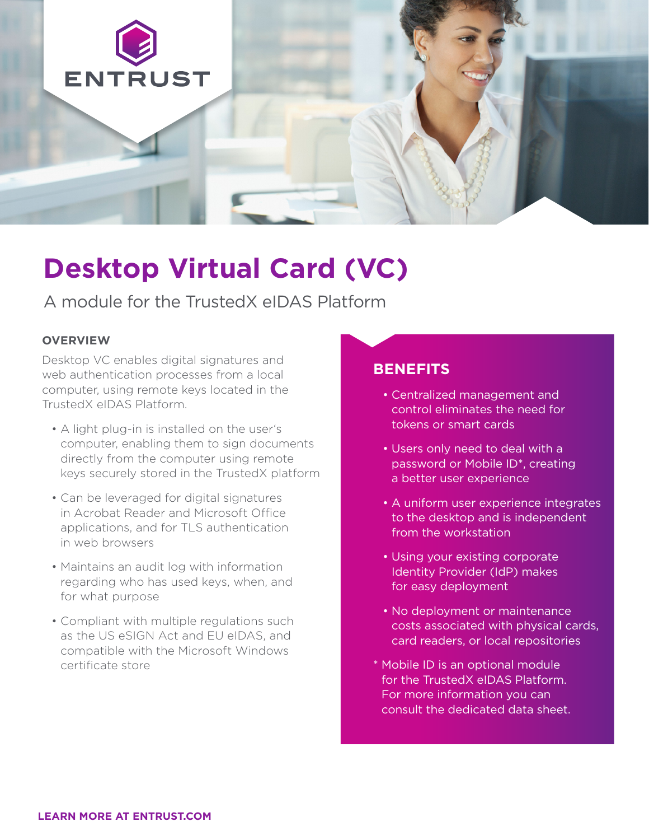

# **Desktop Virtual Card (VC)**

A module for the TrustedX eIDAS Platform

#### **OVERVIEW**

Desktop VC enables digital signatures and web authentication processes from a local computer, using remote keys located in the TrustedX eIDAS Platform.

- A light plug-in is installed on the user's computer, enabling them to sign documents directly from the computer using remote keys securely stored in the TrustedX platform
- Can be leveraged for digital signatures in Acrobat Reader and Microsoft Office applications, and for TLS authentication in web browsers
- Maintains an audit log with information regarding who has used keys, when, and for what purpose
- Compliant with multiple regulations such as the US eSIGN Act and EU eIDAS, and compatible with the Microsoft Windows certificate store

#### **BENEFITS**

- Centralized management and control eliminates the need for tokens or smart cards
- Users only need to deal with a password or Mobile ID\*, creating a better user experience
- A uniform user experience integrates to the desktop and is independent from the workstation
- Using your existing corporate Identity Provider (IdP) makes for easy deployment
- No deployment or maintenance costs associated with physical cards, card readers, or local repositories
- \* Mobile ID is an optional module for the TrustedX eIDAS Platform. For more information you can consult the dedicated data sheet.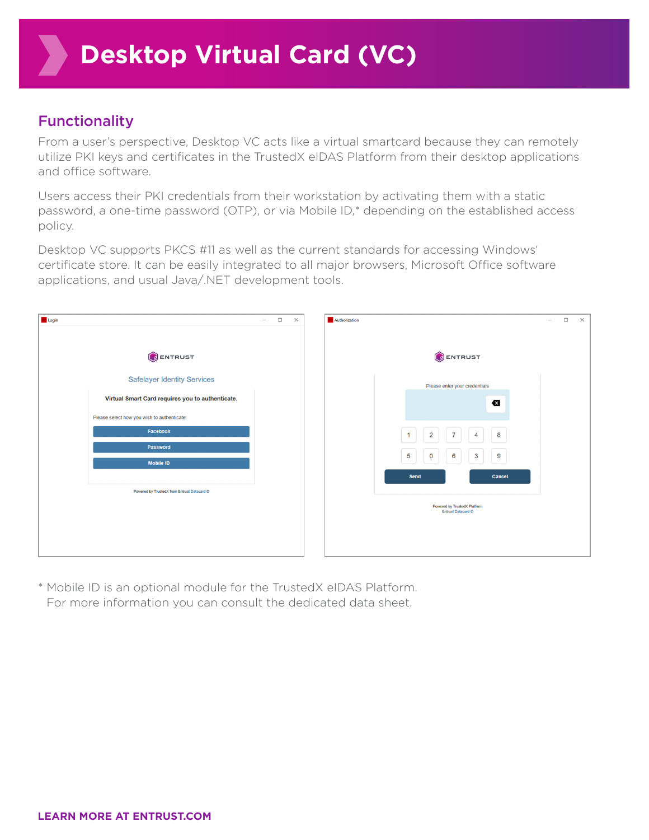## Functionality

From a user's perspective, Desktop VC acts like a virtual smartcard because they can remotely utilize PKI keys and certificates in the TrustedX eIDAS Platform from their desktop applications and office software.

Users access their PKI credentials from their workstation by activating them with a static password, a one-time password (OTP), or via Mobile ID,\* depending on the established access policy.

Desktop VC supports PKCS #11 as well as the current standards for accessing Windows' certificate store. It can be easily integrated to all major browsers, Microsoft Office software applications, and usual Java/.NET development tools.



\* Mobile ID is an optional module for the TrustedX eIDAS Platform. For more information you can consult the dedicated data sheet.